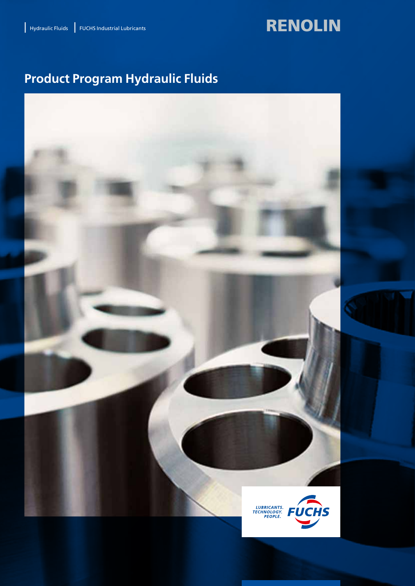# RENOLIN

# **Product Program Hydraulic Fluids**

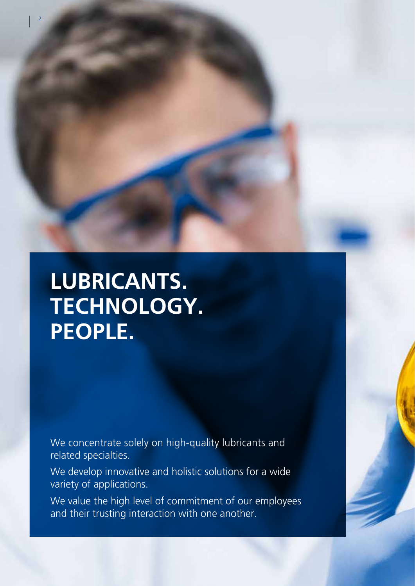**LUBRICANTS. TECHNOLOGY. PEOPLE.**

2

We concentrate solely on high-quality lubricants and related specialties.

We develop innovative and holistic solutions for a wide variety of applications.

We value the high level of commitment of our employees and their trusting interaction with one another.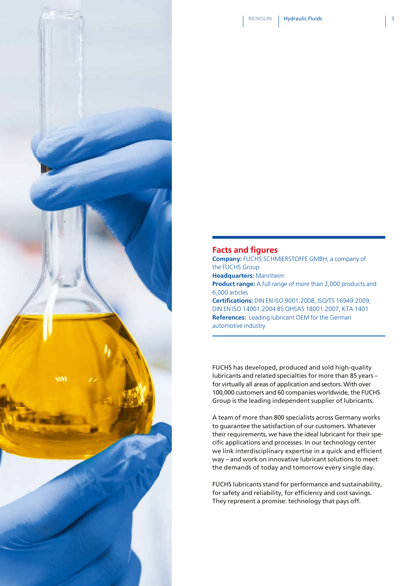

### **Facts and figures**

**Company:** FUCHS SCHMIERSTOFFE GMBH, a company of the FUCHS Group **Headquarters:** Mannheim **Product range:** A full range of more than 2,000 products and 6,000 articles **Certifications:** DIN EN ISO 9001:2008, ISO/TS 16949:2009, DIN EN ISO 14001:2004 BS OHSAS 18001:2007, KTA 1401 **References:** Leading lubricant OEM for the German automotive industry

FUCHS has developed, produced and sold high-quality lubricants and related specialties for more than 85 years – for virtually all areas of application and sectors. With over 100,000 customers and 60 companies worldwide, the FUCHS Group is the leading independent supplier of lubricants.

A team of more than 800 specialists across Germany works to guarantee the satisfaction of our customers. Whatever their requirements, we have the ideal lubricant for their specific applications and processes. In our technology center we link interdisciplinary expertise in a quick and efficient way – and work on innovative lubricant solutions to meet the demands of today and tomorrow every single day.

FUCHS lubricants stand for performance and sustainability, for safety and reliability, for efficiency and cost savings. They represent a promise: technology that pays off.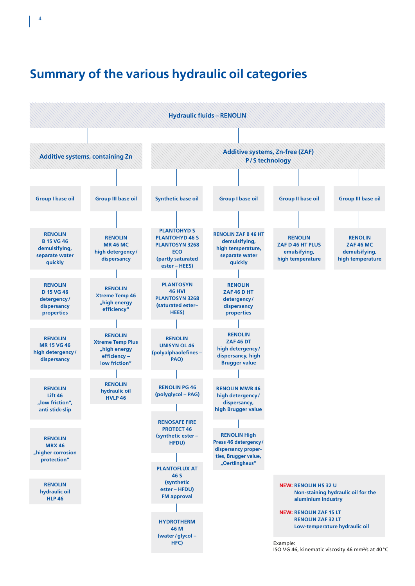

## **Summary of the various hydraulic oil categories**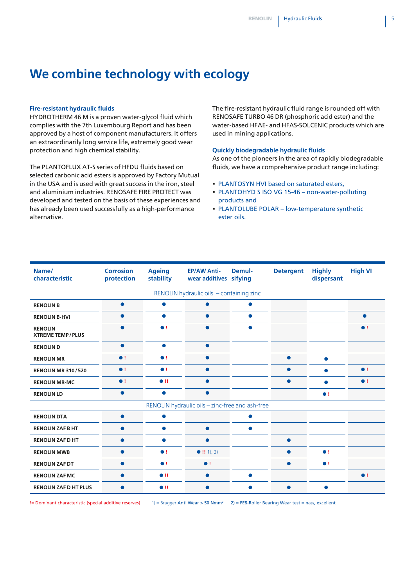### **We combine technology with ecology**

#### **Fire-resistant hydraulic fluids**

HYDROTHERM 46 M is a proven water-glycol fluid which complies with the 7th Luxembourg Report and has been approved by a host of component manufacturers. It offers an extraordinarily long service life, extremely good wear protection and high chemical stability.

The PLANTOFLUX AT-S series of HFDU fluids based on selected carbonic acid esters is approved by Factory Mutual in the USA and is used with great success in the iron, steel and aluminium industries. RENOSAFE FIRE PROTECT was developed and tested on the basis of these experiences and has already been used successfully as a high-performance alternative.

The fire-resistant hydraulic fluid range is rounded off with RENOSAFE TURBO 46 DR (phosphoric acid ester) and the water-based HFAE- and HFAS-SOLCENIC products which are used in mining applications.

#### **Quickly biodegradable hydraulic fluids**

As one of the pioneers in the area of rapidly biodegradable fluids, we have a comprehensive product range including:

- **PLANTOSYN HVI based on saturated esters.**
- PLANTOHYD S ISO VG 15-46 non-water-polluting products and
- PLANTOLUBE POLAR low-temperature synthetic ester oils.

| Name/<br>characteristic                   | <b>Corrosion</b><br>protection | <b>Ageing</b><br>stability | <b>EP/AW Anti-</b><br>wear additives sifying    | Demul-    | <b>Detergent</b> | <b>Highly</b><br>dispersant | <b>High VI</b> |
|-------------------------------------------|--------------------------------|----------------------------|-------------------------------------------------|-----------|------------------|-----------------------------|----------------|
|                                           |                                |                            | RENOLIN hydraulic oils - containing zinc        |           |                  |                             |                |
| <b>RENOLIN B</b>                          | $\bullet$                      |                            | $\bullet$                                       | $\bullet$ |                  |                             |                |
| <b>RENOLIN B-HVI</b>                      | ●                              |                            |                                                 | $\bullet$ |                  |                             |                |
| <b>RENOLIN</b><br><b>XTREME TEMP/PLUS</b> | $\bullet$                      | $\bullet$ !                | $\bullet$                                       | $\bullet$ |                  |                             | $\bullet$ !    |
| <b>RENOLIN D</b>                          | $\bullet$                      | $\bullet$                  | $\bullet$                                       |           |                  |                             |                |
| <b>RENOLIN MR</b>                         | $\bullet$ !                    | $\bullet$ !                | $\bullet$                                       |           | $\bullet$        | $\bullet$                   |                |
| <b>RENOLIN MR 310/520</b>                 | $\bullet$ !                    | $\bullet$ !                | $\bullet$                                       |           | $\bullet$        | ●                           | $\bullet$ !    |
| <b>RENOLIN MR-MC</b>                      | $\bullet$ !                    | $\bullet$ !!               | $\bullet$                                       |           | $\bullet$        | ●                           | $\bullet$ !    |
| <b>RENOLIN LD</b>                         | $\bullet$                      | $\bullet$                  | $\bullet$                                       |           |                  | $\bullet$ !                 |                |
|                                           |                                |                            | RENOLIN hydraulic oils - zinc-free and ash-free |           |                  |                             |                |
| <b>RENOLIN DTA</b>                        | $\bullet$                      |                            |                                                 | $\bullet$ |                  |                             |                |
| <b>RENOLIN ZAF B HT</b>                   | $\bullet$                      | $\bullet$                  | $\bullet$                                       | $\bullet$ |                  |                             |                |
| <b>RENOLIN ZAF D HT</b>                   | $\bullet$                      | ▲                          | $\bullet$                                       |           | $\bullet$        |                             |                |
| <b>RENOLIN MWB</b>                        | $\bullet$                      | $\bullet$ !                | $\bullet$ !! 1), 2)                             |           | $\bullet$        | $\bullet$ !                 |                |
| <b>RENOLIN ZAF DT</b>                     | $\bullet$                      | $\bullet$ !                | $\bullet$ !                                     |           | $\bullet$        | $\bullet$ !                 |                |
| <b>RENOLIN ZAF MC</b>                     | $\bullet$                      | $\bullet$ !!               | $\bullet$                                       | $\bullet$ |                  |                             | $\bullet$ !    |
| <b>RENOLIN ZAF D HT PLUS</b>              | $\bullet$                      | $\bullet$ !!               | $\bullet$                                       | ●         | $\bullet$        |                             |                |

!= Dominant characteristic (special additive reserves) 1) = Brugger Anti Wear > 50 Nmm<sup>2</sup> 2) = FE8-Roller Bearing Wear test = pass, excellent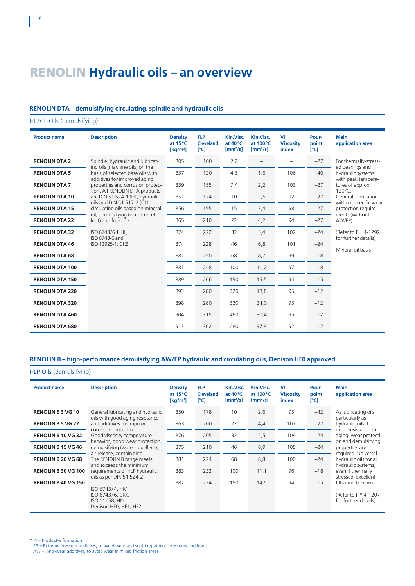### RENOLIN **Hydraulic oils – an overview**

#### **RENOLIN DTA – demulsifying circulating, spindle and hydraulic oils**

HL/CL-Oils (demulsifying)

| <b>Product name</b>    | <b>Description</b>                                                 | <b>Density</b><br>at $15^{\circ}$ C<br>$\left[\frac{\text{kg}}{\text{m}^3}\right]$ | FLP.<br><b>Cleveland</b><br>[°C] | Kin.Visc.<br>at 40°C<br>$[mm^2/s]$ | Kin.Visc.<br>at 100 °C<br>$[mm^2/s]$ | VI<br><b>Viscositv</b><br>index | Pour-<br>point<br>[°C] | <b>Main</b><br>application area                                           |
|------------------------|--------------------------------------------------------------------|------------------------------------------------------------------------------------|----------------------------------|------------------------------------|--------------------------------------|---------------------------------|------------------------|---------------------------------------------------------------------------|
| <b>RENOLIN DTA 2</b>   | Spindle, hydraulic and lubricat-                                   | 805                                                                                | 100                              | 2,2                                |                                      |                                 | $-27$                  | For thermally-stress-                                                     |
| <b>RENOLIN DTA 5</b>   | ing oils (machine oils) on the<br>basis of selected base oils with | 837                                                                                | 120                              | 4,6                                | 1,6                                  | 106                             | $-40$                  | ed bearings and<br>hydraulic systems                                      |
| <b>RENOLIN DTA 7</b>   | additives for improved aging<br>properties and corrosion protec-   | 839                                                                                | 155                              | 7,4                                | 2,2                                  | 103                             | $-27$                  | with peak tempera-<br>tures of approx.                                    |
| <b>RENOLIN DTA 10</b>  | tion. All RENOLIN DTA products<br>are DIN 51 524-1 (HL) hydraulic  | 851                                                                                | 174                              | 10                                 | 2,6                                  | 92                              | $-27$                  | 120°C.<br>General lubrication                                             |
| <b>RENOLIN DTA 15</b>  | oils and DIN 51 517-2 (CL)<br>circulating oils based on mineral    | 856                                                                                | 195                              | 15                                 | 3,4                                  | 98                              | $-27$                  | without specific wear<br>protection require-                              |
| <b>RENOLIN DTA 22</b>  | oil, demulsifying (water-repel-<br>lent) and free of zinc.         | 865                                                                                | 210                              | 22                                 | 4,2                                  | 94                              | $-27$                  | ments (without<br>AW/EP).<br>(Refer to PI* 4-1292<br>for further details) |
| <b>RENOLIN DTA 32</b>  | ISO 6743/64, HL,                                                   | 874                                                                                | 222                              | 32                                 | 5,4                                  | 102                             | $-24$                  |                                                                           |
| <b>RENOLIN DTA 46</b>  | ISO 6743-6 and<br>ISO 12925-1: CKB.                                | 874                                                                                | 228                              | 46                                 | 6,8                                  | 101                             | $-24$                  |                                                                           |
| <b>RENOLIN DTA 68</b>  |                                                                    | 882                                                                                | 250                              | 68                                 | 8,7                                  | 99                              | $-18$                  | Mineral oil basis                                                         |
| <b>RENOLIN DTA 100</b> |                                                                    | 881                                                                                | 248                              | 100                                | 11,2                                 | 97                              | $-18$                  |                                                                           |
| <b>RENOLIN DTA 150</b> |                                                                    | 889                                                                                | 266                              | 150                                | 15,5                                 | 94                              | $-15$                  |                                                                           |
| <b>RENOLIN DTA 220</b> |                                                                    | 893                                                                                | 280                              | 220                                | 18,8                                 | 95                              | $-12$                  |                                                                           |
| <b>RENOLIN DTA 320</b> |                                                                    | 898                                                                                | 280                              | 320                                | 24,0                                 | 95                              | $-12$                  |                                                                           |
| <b>RENOLIN DTA 460</b> |                                                                    | 904                                                                                | 315                              | 460                                | 30.4                                 | 95                              | $-12$                  |                                                                           |
| <b>RENOLIN DTA 680</b> |                                                                    | 913                                                                                | 302                              | 680                                | 37,9                                 | 92                              | $-12$                  |                                                                           |

#### **RENOLIN B – high-performance demulsifying AW/EP hydraulic and circulating oils, Denison HF0 approved**

| HLP-Oils (demulsifying)    |                                                                                                                                                           |                                                                     |                                  |                                              |                                      |                                 |                        |                                                                                      |  |
|----------------------------|-----------------------------------------------------------------------------------------------------------------------------------------------------------|---------------------------------------------------------------------|----------------------------------|----------------------------------------------|--------------------------------------|---------------------------------|------------------------|--------------------------------------------------------------------------------------|--|
| <b>Product name</b>        | <b>Description</b>                                                                                                                                        | <b>Density</b><br>at $15^{\circ}$ C<br>$\left[\text{kg/m}^3\right]$ | FLP.<br><b>Cleveland</b><br>[°C] | Kin.Visc.<br>at $40^{\circ}$ C<br>$[mm^2/s]$ | Kin.Visc.<br>at 100 °C<br>$[mm^2/s]$ | VI<br><b>Viscosity</b><br>index | Pour-<br>point<br>[°C] | Main<br>application area                                                             |  |
| <b>RENOLIN B 3 VG 10</b>   | General lubricating and hydraulic<br>oils with good aging resistance<br>and additives for improved<br>corrosion protection.<br>Good viscosity-temperature | 850                                                                 | 178                              | 10                                           | 2,6                                  | 95                              | $-42$                  | As lubricating oils,                                                                 |  |
| <b>RENOLIN B 5 VG 22</b>   |                                                                                                                                                           | 863                                                                 | 200                              | 22                                           | 4,4                                  | 107                             | $-27$                  | particularly as<br>hydraulic oils if                                                 |  |
| <b>RENOLIN B 10 VG 32</b>  |                                                                                                                                                           | 876                                                                 | 205                              | 32                                           | 5, 5                                 | 109                             | $-24$                  | good resistance to<br>aging, wear protecti-<br>on and demulsifying<br>properties are |  |
| <b>RENOLIN B 15 VG 46</b>  | behavior, good wear protection,<br>demulsifying (water-repellent),                                                                                        | 875                                                                 | 210                              | 46                                           | 6,9                                  | 105                             | $-24$                  |                                                                                      |  |
| <b>RENOLIN B 20 VG 68</b>  | air release, contain zinc.<br>The RENOLIN B range meets                                                                                                   | 881                                                                 | 224                              | 68                                           | 8,8                                  | 100                             | $-24$                  | required. Universal<br>hydraulic oils for all                                        |  |
| <b>RENOLIN B 30 VG 100</b> | and exceeds the minimum<br>requirements of HLP hydraulic                                                                                                  | 883                                                                 | 232                              | 100                                          | 11,1                                 | 96                              | $-18$                  | hydraulic systems,<br>even if thermally<br>stressed. Excellent                       |  |
| <b>RENOLIN B 40 VG 150</b> | oils as per DIN 51 524-2.<br>ISO 6743/4, HM<br>ISO 6743/6, CKC<br>ISO 11158, HM<br>Denison HF0, HF1, HF2                                                  | 887                                                                 | 224                              | 150                                          | 14,5                                 | 94                              | $-15$                  | filtration behavior.<br>(Refer to PI* 4-1207)<br>for further details)                |  |

\* PI = Product-information

EP = Extreme pressure additives, to avoid wear and scuffi ng at high pressures and loads AW = Anti-wear additives, to avoid wear in mixed friction areas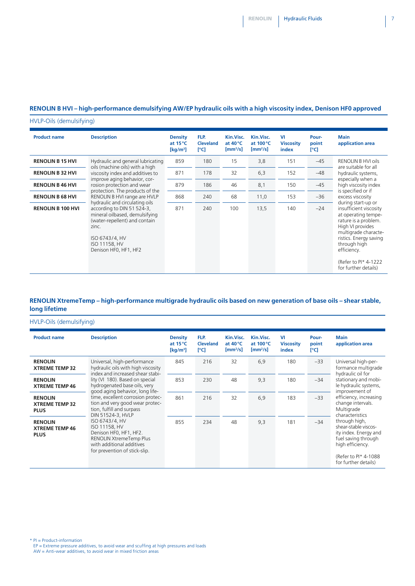#### **RENOLIN B HVI – high-performance demulsifying AW/EP hydraulic oils with a high viscosity index, Denison HF0 approved**

HVLP-Oils (demulsifying)

| <b>Product name</b>      | <b>Description</b>                                                                                                                                                                                                                        | <b>Density</b><br>at $15^{\circ}$ C<br>$\left[\mathrm{kg/m^3}\right]$ | FLP.<br><b>Cleveland</b><br>[°C] | Kin.Visc.<br>at $40^{\circ}$ C<br>$[mm^2/s]$ | Kin.Visc.<br>at $100^{\circ}$ C<br>$\left[\text{mm}^2/\text{s}\right]$ | <b>VI</b><br><b>Viscosity</b><br>index | Pour-<br>point<br>[°C] | <b>Main</b><br>application area                                                                                                                                                                                                                   |
|--------------------------|-------------------------------------------------------------------------------------------------------------------------------------------------------------------------------------------------------------------------------------------|-----------------------------------------------------------------------|----------------------------------|----------------------------------------------|------------------------------------------------------------------------|----------------------------------------|------------------------|---------------------------------------------------------------------------------------------------------------------------------------------------------------------------------------------------------------------------------------------------|
| <b>RENOLIN B 15 HVI</b>  | Hydraulic and general lubricating<br>oils (machine oils) with a high<br>viscosity index and additives to<br>improve aging behavior, cor-<br>rosion protection and wear<br>protection. The products of the<br>RENOLIN B HVI range are HVLP | 859                                                                   | 180                              | 15                                           | 3,8                                                                    | 151                                    | $-45$                  | <b>RENOLIN B HVI oils</b><br>are suitable for all                                                                                                                                                                                                 |
| <b>RENOLIN B 32 HVI</b>  |                                                                                                                                                                                                                                           | 871                                                                   | 178                              | 32                                           | 6,3                                                                    | 152                                    | $-48$                  | hydraulic systems,                                                                                                                                                                                                                                |
| <b>RENOLIN B 46 HVI</b>  |                                                                                                                                                                                                                                           | 879                                                                   | 186                              | 46                                           | 8,1                                                                    | 150                                    | $-45$                  | especially when a<br>high viscosity index                                                                                                                                                                                                         |
| <b>RENOLIN B 68 HVI</b>  |                                                                                                                                                                                                                                           | 868                                                                   | 240                              | 68                                           | 11,0                                                                   | 153                                    | $-36$                  | is specified or if<br>excess viscosity                                                                                                                                                                                                            |
| <b>RENOLIN B 100 HVI</b> | hydraulic and circulating oils<br>according to DIN 51 524-3,<br>mineral oilbased, demulsifying<br>(water-repellent) and contain<br>zinc.<br>ISO 6743/4, HV<br>ISO 11158, HV<br>Denison HF0, HF1, HF2                                      | 871                                                                   | 240                              | 100                                          | 13,5                                                                   | 140                                    | $-24$                  | during start-up or<br>insufficient viscosity<br>at operating tempe-<br>rature is a problem.<br>High VI provides<br>multigrade characte-<br>ristics. Energy saving<br>through high<br>efficiency.<br>(Refer to PI* 4-1222)<br>for further details) |

#### **RENOLIN XtremeTemp – high-performance multigrade hydraulic oils based on new generation of base oils – shear stable, long lifetime**

HVLP-Oils (demulsifying)

| <b>Product name</b>                                    | <b>Description</b>                                                                                                                                                                                                                                                                                                                                                                                                                                                                                 | <b>Density</b><br>at $15^{\circ}$ C<br>$\left[\mathrm{kg/m^3}\right]$ | FLP.<br><b>Cleveland</b><br>[°C] | Kin.Visc.<br>at $40^{\circ}$ C<br>$\left[\text{mm}^2/\text{s}\right]$ | Kin.Visc.<br>at 100 °C<br>$\left[\text{mm}^2/\text{s}\right]$ | VI<br><b>Viscosity</b><br>index | Pour-<br>point<br>[°C] | <b>Main</b><br>application area                                                                                                                                                                                                            |
|--------------------------------------------------------|----------------------------------------------------------------------------------------------------------------------------------------------------------------------------------------------------------------------------------------------------------------------------------------------------------------------------------------------------------------------------------------------------------------------------------------------------------------------------------------------------|-----------------------------------------------------------------------|----------------------------------|-----------------------------------------------------------------------|---------------------------------------------------------------|---------------------------------|------------------------|--------------------------------------------------------------------------------------------------------------------------------------------------------------------------------------------------------------------------------------------|
| <b>RENOLIN</b><br><b>XTREME TEMP 32</b>                | Universal, high-performance<br>hydraulic oils with high viscosity<br>index and increased shear stabi-<br>lity (VI 180). Based on special<br>hydrogenated base oils, very<br>good aging behavior, long life-<br>time, excellent corrosion protec-<br>tion and very good wear protec-<br>tion, fulfill and surpass<br>DIN 51524-3, HVLP<br>ISO 6743/4, HV<br>ISO 11158, HV<br>Denison HF0, HF1, HF2.<br><b>RENOLIN XtremeTemp Plus</b><br>with additional additives<br>for prevention of stick-slip. | 845                                                                   | 216                              | 32                                                                    | 6,9                                                           | 180                             | $-33$                  | Universal high-per-<br>formance multigrade<br>hydraulic oil for                                                                                                                                                                            |
| <b>RENOLIN</b><br><b>XTREME TEMP 46</b>                |                                                                                                                                                                                                                                                                                                                                                                                                                                                                                                    | 853                                                                   | 230                              | 48                                                                    | 9,3                                                           | 180                             | $-34$                  | stationary and mobi-<br>le hydraulic systems,<br>improvement of                                                                                                                                                                            |
| <b>RENOLIN</b><br><b>XTREME TEMP 32</b><br><b>PLUS</b> |                                                                                                                                                                                                                                                                                                                                                                                                                                                                                                    | 861                                                                   | 216                              | 32                                                                    | 6,9                                                           | 183                             | $-33$                  | efficiency, increasing<br>change intervals.<br>Multigrade<br>characteristics<br>through high,<br>shear-stable viscos-<br>ity index. Energy and<br>fuel saving through<br>high efficiency.<br>(Refer to PI* 4-1088)<br>for further details) |
| <b>RENOLIN</b><br><b>XTREME TEMP 46</b><br><b>PLUS</b> |                                                                                                                                                                                                                                                                                                                                                                                                                                                                                                    | 855                                                                   | 234                              | 48                                                                    | 9,3                                                           | 181                             | $-34$                  |                                                                                                                                                                                                                                            |

\* PI = Product-information

EP = Extreme pressure additives, to avoid wear and scuffing at high pressures and loads AW = Anti-wear additives, to avoid wear in mixed friction areas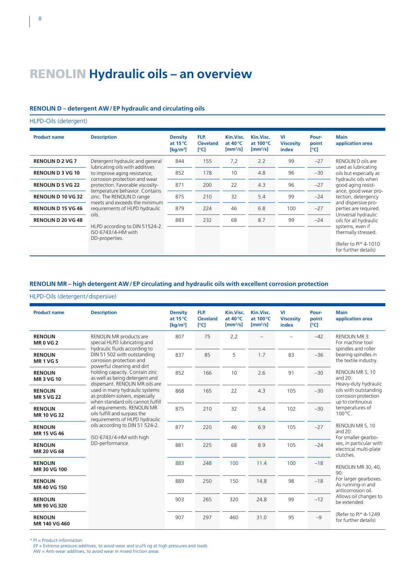# RENOLIN **Hydraulic oils – an overview**

#### **RENOLIN D – detergent AW/EP hydraulic and circulating oils**

HLPD-Oils (detergent)

| <b>Product name</b>       | <b>Description</b>                                                                                                                                                                                                                                                      | <b>Density</b><br>at $15^{\circ}$ C<br>$\left[\mathrm{kg/m^3}\right]$ | FLP.<br><b>Cleveland</b><br>[°C] | Kin.Visc.<br>at $40^{\circ}$ C<br>$\mathrm{[mm^2/s]}$ | Kin.Visc.<br>at $100^{\circ}$ C<br>$\left[\text{mm}^2/\text{s}\right]$ | VI<br><b>Viscosity</b><br>index | Pour-<br>point<br>[°C] | <b>Main</b><br>application area                                                          |
|---------------------------|-------------------------------------------------------------------------------------------------------------------------------------------------------------------------------------------------------------------------------------------------------------------------|-----------------------------------------------------------------------|----------------------------------|-------------------------------------------------------|------------------------------------------------------------------------|---------------------------------|------------------------|------------------------------------------------------------------------------------------|
| <b>RENOLIN D 2 VG 7</b>   | Detergent hydraulic and general<br>lubricating oils with additives<br>to improve aging resistance,<br>corrosion protection and wear<br>protection. Favorable viscosity-<br>temperature behavior. Contains<br>zinc. The RENOLIN D range<br>meets and exceeds the minimum | 844                                                                   | 155                              | 7,2                                                   | 2.2                                                                    | 99                              | $-27$                  | RENOLIN D oils are<br>used as lubricating                                                |
| <b>RENOLIN D 3 VG 10</b>  |                                                                                                                                                                                                                                                                         | 852                                                                   | 178                              | 10                                                    | 4.8                                                                    | 96                              | $-30$                  | oils but especially as<br>hydraulic oils when                                            |
| <b>RENOLIN D 5 VG 22</b>  |                                                                                                                                                                                                                                                                         | 871                                                                   | 200                              | 22                                                    | 4.3                                                                    | 96                              | $-27$                  | good aging resist-                                                                       |
| <b>RENOLIN D 10 VG 32</b> |                                                                                                                                                                                                                                                                         | 875                                                                   | 210                              | 32                                                    | 5.4                                                                    | 99                              | $-24$                  | ance, good wear pro-<br>tection, detergency<br>and dispersive pro-                       |
| <b>RENOLIN D 15 VG 46</b> | requirements of HLPD hydraulic                                                                                                                                                                                                                                          | 879                                                                   | 224                              | 46                                                    | 6.8                                                                    | 100                             | $-27$                  | perties are required.                                                                    |
| <b>RENOLIN D 20 VG 48</b> | oils.<br>HLPD according to DIN 51524-2.<br>ISO 6743/4-HM with<br>DD-properties.                                                                                                                                                                                         | 883                                                                   | 232                              | 68                                                    | 8.7                                                                    | 99                              | $-24$                  | Universal hydraulic<br>oils for all hydraulic                                            |
|                           |                                                                                                                                                                                                                                                                         |                                                                       |                                  |                                                       |                                                                        |                                 |                        | systems, even if<br>thermally stressed.<br>(Refer to PI* 4-1010)<br>for further details) |

### **RENOLIN MR – high detergent AW/EP circulating and hydraulic oils with excellent corrosion protection**

#### HLPD-Oils (detergent/dispersive)

| <b>Product name</b>                  | <b>Description</b>                                                                                                                                                                                                                                                                                                                                                                                                                                                                                  | <b>Density</b><br>at 15°C<br>$\left[\mathrm{kg/m^3}\right]$ | FLP.<br><b>Cleveland</b><br>[°C] | Kin.Visc.<br>at 40°C<br>$[mm^2/s]$ | Kin.Visc.<br>at 100 °C<br>$[mm^2/s]$ | VI<br><b>Viscosity</b><br>index | Pour-<br>point<br>[°C] | <b>Main</b><br>application area                                                                                                                                                                                          |
|--------------------------------------|-----------------------------------------------------------------------------------------------------------------------------------------------------------------------------------------------------------------------------------------------------------------------------------------------------------------------------------------------------------------------------------------------------------------------------------------------------------------------------------------------------|-------------------------------------------------------------|----------------------------------|------------------------------------|--------------------------------------|---------------------------------|------------------------|--------------------------------------------------------------------------------------------------------------------------------------------------------------------------------------------------------------------------|
| <b>RENOLIN</b><br><b>MR0VG2</b>      | RENOLIN MR products are<br>special HLPD lubricating and<br>hydraulic fluids according to<br>DIN 51 502 with outstanding<br>corrosion protection and<br>powerful cleaning and dirt<br>holding capacity. Contain zinc<br>as well as being detergent and<br>dispersant. RENOLIN MR oils are<br>used in many hydraulic systems<br>as problem solvers, especially<br>when standard oils cannot fulfill<br>all requirements. RENOLIN MR<br>oils fulfill and surpass the<br>requirements of HLPD hydraulic | 807                                                         | 75                               | 2,2                                |                                      |                                 | $-42$                  | <b>RENOLIN MR3:</b><br>For machine tool<br>spindles and roller                                                                                                                                                           |
| <b>RENOLIN</b><br><b>MR1VG5</b>      |                                                                                                                                                                                                                                                                                                                                                                                                                                                                                                     | 837                                                         | 85                               | 5                                  | 1.7                                  | 83                              | $-36$                  | bearing spindles in<br>the textile industry.                                                                                                                                                                             |
| <b>RENOLIN</b><br><b>MR3VG10</b>     |                                                                                                                                                                                                                                                                                                                                                                                                                                                                                                     | 852                                                         | 166                              | 10                                 | 2.6                                  | 91                              | $-30$                  | RENOLIN MR 5, 10<br>and $20$ :<br>Heavy-duty hydraulic                                                                                                                                                                   |
| <b>RENOLIN</b><br><b>MR5 VG22</b>    |                                                                                                                                                                                                                                                                                                                                                                                                                                                                                                     | 868                                                         | 165                              | 22                                 | 4.3                                  | 105                             | $-30$                  | oils with outstanding<br>corrosion protection<br>up to continuous                                                                                                                                                        |
| <b>RENOLIN</b><br>MR 10 VG 32        |                                                                                                                                                                                                                                                                                                                                                                                                                                                                                                     | 875                                                         | 210                              | 32                                 | 5.4                                  | 102                             | $-30$                  | temperatures of<br>100°C.                                                                                                                                                                                                |
| <b>RENOLIN</b><br><b>MR 15 VG 46</b> | oils according to DIN 51 524-2.<br>ISO 6743/4-HM with high                                                                                                                                                                                                                                                                                                                                                                                                                                          | 877                                                         | 220                              | 46                                 | 6.9                                  | 105                             | $-27$                  | RENOLIN MR 5, 10<br>and $20$ :<br>For smaller gearbo-<br>xes, in particular with<br>electrical multi-plate<br>clutches.<br>RENOLIN MR 30, 40,<br>90:<br>For larger gearboxes.<br>As running-in and<br>anticorrosion oil. |
| <b>RENOLIN</b><br><b>MR 20 VG 68</b> | DD-performance.                                                                                                                                                                                                                                                                                                                                                                                                                                                                                     | 881                                                         | 225                              | 68                                 | 8.9                                  | 105                             | $-24$                  |                                                                                                                                                                                                                          |
| <b>RENOLIN</b><br>MR 30 VG 100       |                                                                                                                                                                                                                                                                                                                                                                                                                                                                                                     | 883                                                         | 248                              | 100                                | 11.4                                 | 100                             | $-18$                  |                                                                                                                                                                                                                          |
| <b>RENOLIN</b><br>MR 40 VG 150       |                                                                                                                                                                                                                                                                                                                                                                                                                                                                                                     | 889                                                         | 250                              | 150                                | 14.8                                 | 98                              | $-18$                  |                                                                                                                                                                                                                          |
| <b>RENOLIN</b><br>MR 90 VG 320       |                                                                                                                                                                                                                                                                                                                                                                                                                                                                                                     | 903                                                         | 265                              | 320                                | 24.8                                 | 99                              | $-12$                  | Allows oil changes to<br>be extended.                                                                                                                                                                                    |
| <b>RENOLIN</b><br>MR 140 VG 460      |                                                                                                                                                                                                                                                                                                                                                                                                                                                                                                     | 907                                                         | 297                              | 460                                | 31.0                                 | 95                              | $-9$                   | (Refer to PI* 4-1249)<br>for further details)                                                                                                                                                                            |

\* PI = Product-information

EP = Extreme pressure additives, to avoid wear and scuffi ng at high pressures and loads AW = Anti-wear additives, to avoid wear in mixed friction areas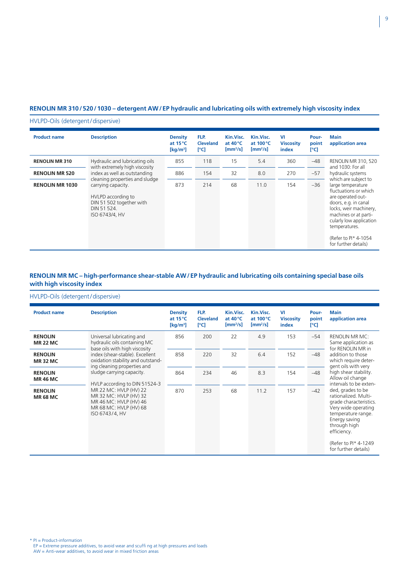#### **RENOLIN MR 310/520/1030 – detergent AW/EP hydraulic and lubricating oils with extremely high viscosity index**

#### HVLPD-Oils (detergent/dispersive)

| <b>Product name</b>    | <b>Description</b>                                                                                                                      | <b>Density</b><br>at $15^{\circ}$ C<br>$\left[\mathrm{kg/m^3}\right]$ | FLP.<br>Cleveland<br>[°C] | Kin.Visc.<br>at $40^{\circ}$ C<br>$\left[\text{mm}^2/\text{s}\right]$ | Kin.Visc.<br>at $100^{\circ}$ C<br>$\left[\text{mm}^2/\text{s}\right]$ | VI<br><b>Viscosity</b><br>index | Pour-<br>point<br>[°C] | Main<br>application area                                                                                                                                                                                                                |
|------------------------|-----------------------------------------------------------------------------------------------------------------------------------------|-----------------------------------------------------------------------|---------------------------|-----------------------------------------------------------------------|------------------------------------------------------------------------|---------------------------------|------------------------|-----------------------------------------------------------------------------------------------------------------------------------------------------------------------------------------------------------------------------------------|
| <b>RENOLIN MR310</b>   | Hydraulic and lubricating oils                                                                                                          | 855                                                                   | 118                       | 15                                                                    | 5.4                                                                    | 360                             | -48                    | <b>RENOLIN MR 310, 520</b><br>and 1030: For all                                                                                                                                                                                         |
| <b>RENOLIN MR 520</b>  | with extremely high viscosity<br>index as well as outstanding                                                                           | 886                                                                   | 154                       | 32                                                                    | 8.0                                                                    | 270                             | $-57$                  | hydraulic systems<br>which are subject to                                                                                                                                                                                               |
| <b>RENOLIN MR 1030</b> | cleaning properties and sludge<br>carrying capacity.<br>HVLPD according to<br>DIN 51 502 together with<br>DIN 51 524.<br>ISO 6743/4, HV | 873                                                                   | 214                       | 68                                                                    | 11.0                                                                   | 154                             | $-36$                  | large temperature<br>fluctuations or which<br>are operated out-<br>doors, e.g. in canal<br>locks, weir machinery,<br>machines or at parti-<br>cularly low application<br>temperatures.<br>(Refer to PI* 4-1054)<br>for further details) |

#### **RENOLIN MR MC – high-performance shear-stable AW/EP hydraulic and lubricating oils containing special base oils with high viscosity index**

#### HVLPD-Oils (detergent/dispersive)

| <b>Product name</b>               | <b>Description</b>                                                                                                                                      | <b>Density</b><br>at $15^{\circ}$ C<br>$\left[\mathrm{kg/m^3}\right]$ | FLP.<br>Cleveland<br>[°C] | Kin.Visc.<br>at $40^{\circ}$ C<br>$\left[\text{mm}^2/\text{s}\right]$ | Kin.Visc.<br>at $100^{\circ}$ C<br>$\left[\text{mm}^2/\text{s}\right]$ | VI<br><b>Viscosity</b><br>index | Pour-<br>point<br>[°C] | <b>Main</b><br>application area                                                                                                                                                                                                                                                         |
|-----------------------------------|---------------------------------------------------------------------------------------------------------------------------------------------------------|-----------------------------------------------------------------------|---------------------------|-----------------------------------------------------------------------|------------------------------------------------------------------------|---------------------------------|------------------------|-----------------------------------------------------------------------------------------------------------------------------------------------------------------------------------------------------------------------------------------------------------------------------------------|
| <b>RENOLIN</b><br><b>MR 22 MC</b> | Universal lubricating and<br>hydraulic oils containing MC                                                                                               | 856                                                                   | 200                       | 22                                                                    | 4.9                                                                    | 153                             | $-54$                  | <b>RENOLIN MR MC:</b><br>Same application as<br>for RENOLIN MR in                                                                                                                                                                                                                       |
| <b>RENOLIN</b><br><b>MR32 MC</b>  | base oils with high viscosity<br>index (shear-stable). Excellent<br>oxidation stability and outstand-<br>ing cleaning properties and                    | 858                                                                   | 220                       | 32                                                                    | 6.4                                                                    | 152                             | $-48$                  | addition to those<br>which require deter-<br>gent oils with very                                                                                                                                                                                                                        |
| <b>RENOLIN</b><br><b>MR 46 MC</b> | sludge carrying capacity.                                                                                                                               | 864                                                                   | 234                       | 46                                                                    | 8.3                                                                    | 154                             | $-48$                  | high shear stability.<br>Allow oil change<br>intervals to be exten-<br>ded, grades to be<br>rationalized. Multi-<br>grade characteristics.<br>Very wide operating<br>temperature range.<br>Energy saving<br>through high<br>efficiency.<br>(Refer to PI* 4-1249<br>for further details) |
| <b>RENOLIN</b><br><b>MR 68 MC</b> | HVLP according to DIN 51524-3<br>MR 22 MC: HVLP (HV) 22<br>MR 32 MC: HVLP (HV) 32<br>MR 46 MC: HVLP (HV) 46<br>MR 68 MC: HVLP (HV) 68<br>ISO 6743/4, HV | 870                                                                   | 253                       | 68                                                                    | 11.2                                                                   | 157                             | $-42$                  |                                                                                                                                                                                                                                                                                         |

\* PI = Product-information EP = Extreme pressure additives, to avoid wear and scuffi ng at high pressures and loads AW = Anti-wear additives, to avoid wear in mixed friction areas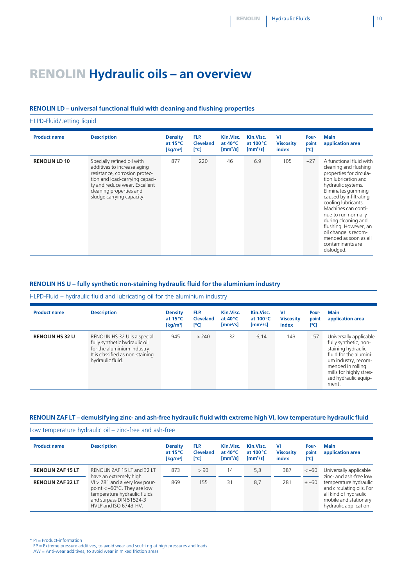**Pourpoint [°C]**

**Main**

**application area**

cleaning and flushing properties for circulation lubrication and hydraulic systems. Eliminates gumming caused by infiltrating cooling lubricants. Machines can continue to run normally during cleaning and flushing. However, an oil change is recommended as soon as all contaminants are dislodged.

### RENOLIN **Hydraulic oils – an overview**

#### **RENOLIN LD – universal functional fluid with cleaning and flushing properties**

HLPD-Fluid/Jetting liquid **Product name Description Density at 15°C [kg/m3 ] FLP. Cleveland [°C] Kin.Visc. at 40°C [mm2 /s] Kin.Visc. at 100°C [mm2 /s] VI Viscosity index RENOLIN LD 10** Specially refined oil with additives to increase aging resistance, corrosion protection and load-carrying capacity and reduce wear. Excellent cleaning properties and sludge carrying capacity. 877 220 46 6.9 105 –27 A functional fluid with

#### **RENOLIN HS U – fully synthetic non-staining hydraulic fluid for the aluminium industry**

#### HLPD-Fluid – hydraulic fluid and lubricating oil for the aluminium industry

| <b>Product name</b>    | <b>Description</b>                                                                                                                                   | <b>Density</b><br>at $15^{\circ}$ C | FLP.<br><b>Cleveland</b> | Kin.Visc.<br>at $40^{\circ}$ C      | Kin.Visc.<br>at $100^{\circ}$ C | <b>VI</b><br><b>Viscosity</b> | Pour-<br>point | <b>Main</b><br>application area                                                                                                                                                                         |
|------------------------|------------------------------------------------------------------------------------------------------------------------------------------------------|-------------------------------------|--------------------------|-------------------------------------|---------------------------------|-------------------------------|----------------|---------------------------------------------------------------------------------------------------------------------------------------------------------------------------------------------------------|
|                        |                                                                                                                                                      | [ $kg/m3$ ]                         | [°C]                     | $\left[\text{mm}^2/\text{s}\right]$ | $[mm^2/s]$                      | index                         | [°C]           |                                                                                                                                                                                                         |
| <b>RENOLIN HS 32 U</b> | RENOLIN HS 32 U is a special<br>fully synthetic hydraulic oil<br>for the aluminium industry.<br>It is classified as non-staining<br>hydraulic fluid. | 945                                 | > 240                    | 32                                  | 6,14                            | 143                           | $-57$          | Universally applicable<br>fully synthetic, non-<br>staining hydraulic<br>fluid for the alumini-<br>um industry, recom-<br>mended in rolling<br>mills for highly stres-<br>sed hydraulic equip-<br>ment. |

#### **RENOLIN ZAF LT – demulsifying zinc- and ash-free hydraulic fluid with extreme high VI, low temperature hydraulic fluid**

Low temperature hydraulic oil – zinc-free and ash-free

| <b>Product name</b>      | <b>Description</b>                                                                                                                                                                    | <b>Density</b><br>at $15^{\circ}$ C<br>$\left[\mathrm{kg/m^3}\right]$ | FLP.<br><b>Cleveland</b><br>[°C] | Kin.Visc.<br>at $40^{\circ}$ C<br>$\mathrm{Imm}^2/\mathrm{s}$ | Kin.Visc.<br>at $100^{\circ}$ C<br>$\mathrm{Imm}^2/\mathrm{s}$ | VI<br><b>Viscosity</b><br>index | Pour-<br>point<br>rci | <b>Main</b><br>application area                                                                                                |
|--------------------------|---------------------------------------------------------------------------------------------------------------------------------------------------------------------------------------|-----------------------------------------------------------------------|----------------------------------|---------------------------------------------------------------|----------------------------------------------------------------|---------------------------------|-----------------------|--------------------------------------------------------------------------------------------------------------------------------|
| <b>RENOLIN ZAF 15 LT</b> | RENOLIN ZAF 15 LT and 32 LT                                                                                                                                                           | 873                                                                   | >90                              | 14                                                            | 5,3                                                            | 387                             | $<-60$                | Universally applicable<br>zinc- and ash-free low                                                                               |
| <b>RENOLIN ZAF 32 LT</b> | have an extremely high<br>$VI > 281$ and a very low pour-<br>point $<-60^{\circ}$ C. They are low<br>temperature hydraulic fluids<br>and surpass DIN 51524-3<br>HVLP and ISO 6743-HV. | 869                                                                   | 155                              | 31                                                            | 8,7                                                            | 281                             | $± -60$               | temperature hydraulic<br>and circulating oils. For<br>all kind of hydraulic<br>mobile and stationary<br>hydraulic application. |

\* PI = Product-information

EP = Extreme pressure additives, to avoid wear and scuffi ng at high pressures and loads AW = Anti-wear additives, to avoid wear in mixed friction areas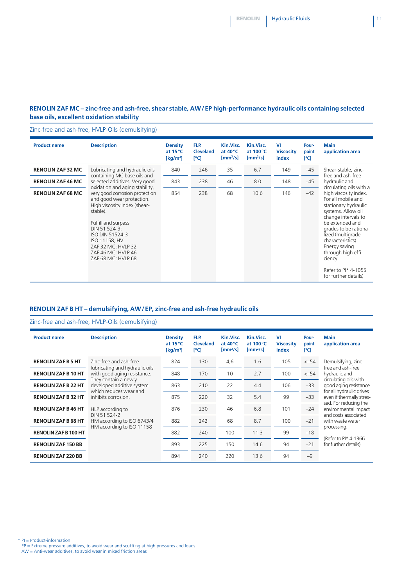#### **RENOLIN ZAF MC – zinc-free and ash-free, shear stable, AW/EP high-performance hydraulic oils containing selected base oils, excellent oxidation stability**

#### Zinc-free and ash-free, HVLP-Oils (demulsifying)

| <b>Product name</b>      | <b>Description</b>                                                                                                                                                                                                                                                                      | <b>Density</b><br>at $15^{\circ}$ C<br>$\left[\mathrm{kg/m^3}\right]$ | FLP.<br><b>Cleveland</b><br>[°C] | Kin.Visc.<br>at $40^{\circ}$ C<br>$\left[\text{mm}^2/\text{s}\right]$ | Kin.Visc.<br>at $100^{\circ}$ C<br>$\left[\text{mm}^2/\text{s}\right]$ | VI<br><b>Viscosity</b><br>index | Pour-<br>point<br>[°C] | <b>Main</b><br>application area                                                                                                                                                                                                                                                                                                    |
|--------------------------|-----------------------------------------------------------------------------------------------------------------------------------------------------------------------------------------------------------------------------------------------------------------------------------------|-----------------------------------------------------------------------|----------------------------------|-----------------------------------------------------------------------|------------------------------------------------------------------------|---------------------------------|------------------------|------------------------------------------------------------------------------------------------------------------------------------------------------------------------------------------------------------------------------------------------------------------------------------------------------------------------------------|
| <b>RENOLIN ZAF 32 MC</b> | Lubricating and hydraulic oils                                                                                                                                                                                                                                                          | 840                                                                   | 246                              | 35                                                                    | 6.7                                                                    | 149                             | $-45$                  | Shear-stable, zinc-                                                                                                                                                                                                                                                                                                                |
| <b>RENOLIN ZAF 46 MC</b> | containing MC base oils and<br>selected additives. Very good                                                                                                                                                                                                                            | 843                                                                   | 238                              | 46                                                                    | 8.0                                                                    | 148                             | $-45$                  | free and ash-free<br>hydraulic and                                                                                                                                                                                                                                                                                                 |
| <b>RENOLIN ZAF 68 MC</b> | oxidation and aging stability,<br>very good corrosion protection<br>and good wear protection.<br>High viscosity index (shear-<br>stable).<br>Fulfill and surpass<br>DIN 51 524-3;<br>ISO DIN 51524-3<br>ISO 11158, HV<br>ZAF 32 MC: HVLP 32<br>ZAF 46 MC: HVLP 46<br>ZAF 68 MC: HVLP 68 | 854                                                                   | 238                              | 68                                                                    | 10.6                                                                   | 146                             | $-42$                  | circulating oils with a<br>high viscosity index.<br>For all mobile and<br>stationary hydraulic<br>systems. Allow oil<br>change intervals to<br>be extended and<br>grades to be rationa-<br>lized (multigrade<br>characteristics).<br>Energy saving<br>through high effi-<br>ciency.<br>Refer to PI* 4-1055<br>for further details) |

#### **RENOLIN ZAF B HT – demulsifying, AW/EP, zinc-free and ash-free hydraulic oils**

#### Zinc-free and ash-free, HVLP-Oils (demulsifying)

| <b>Product name</b>         | <b>Description</b>                                                                                                     | <b>Density</b><br>at $15^{\circ}$ C<br>$\left[\mathrm{kg/m^3}\right]$ | FLP.<br><b>Cleveland</b><br>[°C] | Kin.Visc.<br>at $40^{\circ}$ C<br>$\left[\text{mm}^2/\text{s}\right]$ | Kin.Visc.<br>at $100^{\circ}$ C<br>$\left[\text{mm}^2/\text{s}\right]$ | VI<br><b>Viscosity</b><br>index | Pour-<br>point<br>[°C] | Main<br>application area                                                                                                                                                                                                                                           |
|-----------------------------|------------------------------------------------------------------------------------------------------------------------|-----------------------------------------------------------------------|----------------------------------|-----------------------------------------------------------------------|------------------------------------------------------------------------|---------------------------------|------------------------|--------------------------------------------------------------------------------------------------------------------------------------------------------------------------------------------------------------------------------------------------------------------|
| <b>RENOLIN ZAF B 5 HT</b>   | Zinc-free and ash-free                                                                                                 | 824                                                                   | 130                              | 4,6                                                                   | 1.6                                                                    | 105                             | $<-54$                 | Demulsifying, zinc-<br>free and ash-free                                                                                                                                                                                                                           |
| <b>RENOLIN ZAF B 10 HT</b>  | lubricating and hydraulic oils<br>with good aging resistance.                                                          | 848                                                                   | 170                              | 10                                                                    | 2.7                                                                    | 100                             | $<-54$                 | hydraulic and                                                                                                                                                                                                                                                      |
| <b>RENOLIN ZAF B 22 HT</b>  | They contain a newly<br>developed additive system<br>which reduces wear and<br>inhibits corrosion.<br>HLP according to | 863                                                                   | 210                              | 22                                                                    | 4.4                                                                    | 106                             | $-33$                  | circulating oils with<br>good aging resistance<br>for all hydraulic drives<br>even if thermally stres-<br>sed. For reducing the<br>environmental impact<br>and costs associated<br>with waste water<br>processing.<br>(Refer to Pl* 4-1366<br>for further details) |
| <b>RENOLIN ZAF B 32 HT</b>  |                                                                                                                        | 875                                                                   | 220                              | 32                                                                    | 5.4                                                                    | 99                              | $-33$                  |                                                                                                                                                                                                                                                                    |
| <b>RENOLIN ZAF B 46 HT</b>  |                                                                                                                        | 876                                                                   | 230                              | 46                                                                    | 6.8                                                                    | 101                             | $-24$                  |                                                                                                                                                                                                                                                                    |
| <b>RENOLIN ZAF B 68 HT</b>  | DIN 51 524-2<br>HM according to ISO 6743/4                                                                             | 882                                                                   | 242                              | 68                                                                    | 8.7                                                                    | 100                             | $-21$                  |                                                                                                                                                                                                                                                                    |
| <b>RENOLIN ZAF B 100 HT</b> | HM according to ISO 11158                                                                                              | 882                                                                   | 240                              | 100                                                                   | 11.3                                                                   | 99                              | $-18$                  |                                                                                                                                                                                                                                                                    |
| <b>RENOLIN ZAF 150 BB</b>   |                                                                                                                        | 893                                                                   | 225                              | 150                                                                   | 14.6                                                                   | 94                              | $-21$                  |                                                                                                                                                                                                                                                                    |
| <b>RENOLIN ZAF 220 BB</b>   |                                                                                                                        | 894                                                                   | 240                              | 220                                                                   | 13.6                                                                   | 94                              | $-9$                   |                                                                                                                                                                                                                                                                    |

\* PI = Product-information

EP = Extreme pressure additives, to avoid wear and scuffi ng at high pressures and loads AW = Anti-wear additives, to avoid wear in mixed friction areas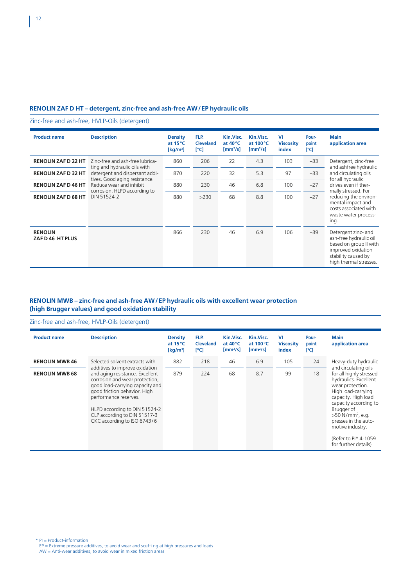#### **RENOLIN ZAF D HT – detergent, zinc-free and ash-free AW/EP hydraulic oils**

Zinc-free and ash-free, HVLP-Oils (detergent)

| <b>Product name</b>                | <b>Description</b>                                                                                                                                                        | <b>Density</b><br>at $15^{\circ}$ C<br>$\left[\mathrm{kg/m^3}\right]$ | FLP.<br><b>Cleveland</b><br>[°C] | Kin.Visc.<br>at $40^{\circ}$ C<br>$\left[\text{mm}^2/\text{s}\right]$ | Kin.Visc.<br>at $100^{\circ}$ C<br>$\left[\text{mm}^2/\text{s}\right]$ | VI<br><b>Viscosity</b><br>index | Pour-<br>point<br>[°C] | Main<br>application area                                                                                                                                                |
|------------------------------------|---------------------------------------------------------------------------------------------------------------------------------------------------------------------------|-----------------------------------------------------------------------|----------------------------------|-----------------------------------------------------------------------|------------------------------------------------------------------------|---------------------------------|------------------------|-------------------------------------------------------------------------------------------------------------------------------------------------------------------------|
| <b>RENOLIN ZAF D 22 HT</b>         | Zinc-free and ash-free lubrica-                                                                                                                                           | 860                                                                   | 206                              | 22                                                                    | 4.3                                                                    | 103                             | $-33$                  | Detergent, zinc-free<br>and ashfree hydraulic                                                                                                                           |
| <b>RENOLIN ZAF D 32 HT</b>         | ting and hydraulic oils with<br>detergent and dispersant addi-<br>tives. Good aging resistance.<br>Reduce wear and inhibit<br>corrosion. HLPD according to<br>DIN 51524-2 | 870                                                                   | 220                              | 32                                                                    | 5.3                                                                    | 97                              | $-33$                  | and circulating oils                                                                                                                                                    |
| <b>RENOLIN ZAF D46 HT</b>          |                                                                                                                                                                           | 880                                                                   | 230                              | 46                                                                    | 6.8                                                                    | 100                             | $-27$                  | for all hydraulic<br>drives even if ther-<br>mally stressed. For<br>reducing the environ-<br>mental impact and<br>costs associated with<br>waste water process-<br>ing. |
| <b>RENOLIN ZAF D 68 HT</b>         |                                                                                                                                                                           | 880                                                                   | >230                             | 68                                                                    | 8.8                                                                    | 100                             | $-27$                  |                                                                                                                                                                         |
| <b>RENOLIN</b><br>ZAF D 46 HT PLUS |                                                                                                                                                                           | 866                                                                   | 230                              | 46                                                                    | 6.9                                                                    | 106                             | $-39$                  | Detergent zinc- and<br>ash-free hydraulic oil<br>based on group II with<br>improved oxidation<br>stability caused by<br>high thermal stresses.                          |

#### **RENOLIN MWB – zinc-free and ash-free AW/EP hydraulic oils with excellent wear protection (high Brugger values) and good oxidation stability**

Zinc-free and ash-free, HVLP-Oils (detergent)

| <b>Product name</b>   | <b>Description</b>                                                                                                                                                                                                                                                                              | <b>Density</b><br>at $15^{\circ}$ C<br>$\left[\mathrm{kg/m^3}\right]$ | FLP.<br><b>Cleveland</b><br>[°C] | Kin.Visc.<br>at $40^{\circ}$ C<br>$[mm^2/s]$ | Kin.Visc.<br>at $100^{\circ}$ C<br>$[mm^2/s]$ | VI<br><b>Viscosity</b><br>index | Pour-<br>point<br>[°C] | <b>Main</b><br>application area                                                                                                                                                                                                                                                                                 |
|-----------------------|-------------------------------------------------------------------------------------------------------------------------------------------------------------------------------------------------------------------------------------------------------------------------------------------------|-----------------------------------------------------------------------|----------------------------------|----------------------------------------------|-----------------------------------------------|---------------------------------|------------------------|-----------------------------------------------------------------------------------------------------------------------------------------------------------------------------------------------------------------------------------------------------------------------------------------------------------------|
| <b>RENOLIN MWB 46</b> | Selected solvent extracts with                                                                                                                                                                                                                                                                  | 882                                                                   | 218                              | 46                                           | 6.9                                           | 105                             | $-24$                  | Heavy-duty hydraulic                                                                                                                                                                                                                                                                                            |
| <b>RENOLIN MWB 68</b> | additives to improve oxidation<br>and aging resistance. Excellent<br>corrosion and wear protection,<br>good load-carrying capacity and<br>good friction behavior. High<br>performance reserves.<br>HLPD according to DIN 51524-2<br>CLP according to DIN 51517-3<br>CKC according to ISO 6743/6 | 879                                                                   | 224                              | 68                                           | 8.7                                           | 99                              | $-18$                  | and circulating oils<br>for all highly stressed<br>hydraulics. Excellent<br>wear protection.<br>High load-carrying<br>capacity. High load<br>capacity according to<br>Brugger of<br>$>50$ N/mm <sup>2</sup> , e.g.<br>presses in the auto-<br>motive industry.<br>(Refer to PI* 4-1059)<br>for further details) |

\* PI = Product-information EP = Extreme pressure additives, to avoid wear and scuffi ng at high pressures and loads AW = Anti-wear additives, to avoid wear in mixed friction areas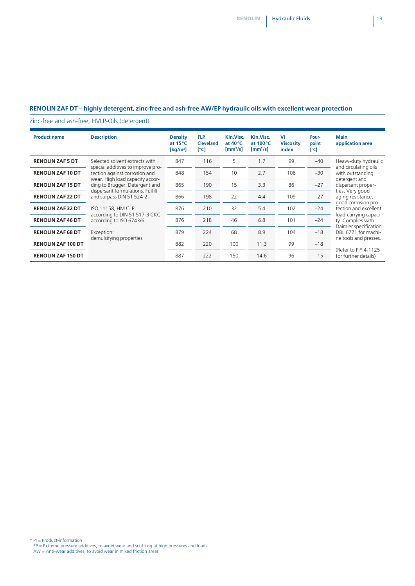#### **RENOLIN ZAF DT – highly detergent, zinc-free and ash-free AW/EP hydraulic oils with excellent wear protection**

Zinc-free and ash-free, HVLP-Oils (detergent)

| <b>Product name</b>       | <b>Description</b>                                                                                                                                                                                       | <b>Density</b><br>at $15^{\circ}$ C<br>$\left[\mathrm{kg/m^3}\right]$ | FLP.<br><b>Cleveland</b><br>[°C] | Kin.Visc.<br>at $40^{\circ}$ C<br>$[mm^2/s]$ | Kin.Visc.<br>at $100^{\circ}$ C<br>$\left[\text{mm}^2/\text{s}\right]$ | VI<br><b>Viscosity</b><br>index | Pour-<br>point<br>[°C] | <b>Main</b><br>application area                                                                                                                                                                                                                                                                |
|---------------------------|----------------------------------------------------------------------------------------------------------------------------------------------------------------------------------------------------------|-----------------------------------------------------------------------|----------------------------------|----------------------------------------------|------------------------------------------------------------------------|---------------------------------|------------------------|------------------------------------------------------------------------------------------------------------------------------------------------------------------------------------------------------------------------------------------------------------------------------------------------|
| <b>RENOLIN ZAF 5 DT</b>   | Selected solvent extracts with                                                                                                                                                                           | 847                                                                   | 116                              | 5                                            | 1.7                                                                    | 99                              | $-40$                  | Heavy-duty hydraulic                                                                                                                                                                                                                                                                           |
| <b>RENOLIN ZAF 10 DT</b>  | special additives to improve pro-<br>tection against corrosion and<br>wear. High load capacity accor-<br>ding to Brugger. Detergent and<br>dispersant formulations. Fulfill<br>and surpass DIN 51 524-2. | 848                                                                   | 154                              | 10                                           | 2.7                                                                    | 108                             | $-30$                  | and circulating oils<br>with outstanding<br>detergent and<br>dispersant proper-<br>ties. Very good<br>aging resistance,<br>good corrosion pro-<br>tection and excellent<br>load-carrying capaci-<br>ty. Complies with<br>Daimler specification<br>DBL 6721 for machi-<br>ne tools and presses. |
| <b>RENOLIN ZAF 15 DT</b>  |                                                                                                                                                                                                          | 865                                                                   | 190                              | 15                                           | 3.3                                                                    | 86                              | $-27$                  |                                                                                                                                                                                                                                                                                                |
| <b>RENOLIN ZAF 22 DT</b>  |                                                                                                                                                                                                          | 866                                                                   | 198                              | 22                                           | 4.4                                                                    | 109                             | $-27$                  |                                                                                                                                                                                                                                                                                                |
| <b>RENOLIN ZAF 32 DT</b>  | ISO 11158, HM CLP                                                                                                                                                                                        | 876                                                                   | 210                              | 32                                           | 5.4                                                                    | 102                             | $-24$                  |                                                                                                                                                                                                                                                                                                |
| <b>RENOLIN ZAF46 DT</b>   | according to DIN 51 517-3 CKC<br>according to ISO 6743/6<br>Exception:<br>demulsifying properties                                                                                                        | 876                                                                   | 218                              | 46                                           | 6.8                                                                    | 101                             | $-24$                  |                                                                                                                                                                                                                                                                                                |
| <b>RENOLIN ZAF 68 DT</b>  |                                                                                                                                                                                                          | 879                                                                   | 224                              | 68                                           | 8.9                                                                    | 104                             | $-18$                  |                                                                                                                                                                                                                                                                                                |
| <b>RENOLIN ZAF 100 DT</b> |                                                                                                                                                                                                          | 882                                                                   | 220                              | 100                                          | 11.3                                                                   | 99                              | $-18$                  |                                                                                                                                                                                                                                                                                                |
| <b>RENOLIN ZAF 150 DT</b> |                                                                                                                                                                                                          | 887                                                                   | 222                              | 150                                          | 14.6                                                                   | 96                              | $-15$                  | (Refer to PI* 4-1125)<br>for further details)                                                                                                                                                                                                                                                  |

\* PI = Product-information EP = Extreme pressure additives, to avoid wear and scuffi ng at high pressures and loads AW = Anti-wear additives, to avoid wear in mixed friction areas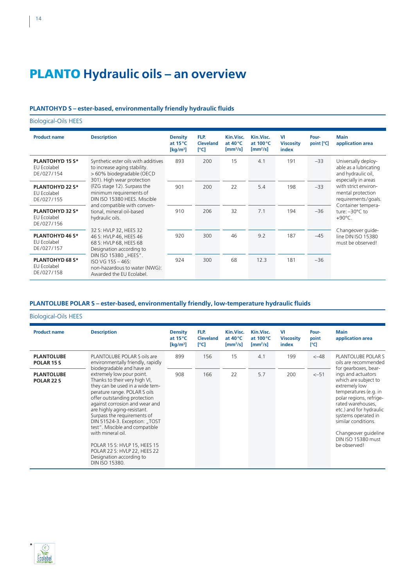## PLANTO **Hydraulic oils – an overview**

#### **PLANTOHYD S – ester-based, environmentally friendly hydraulic fluids**

Biological-Oils HEES **Product name Description Density at 15°C [kg/m3 ] FLP. Cleveland [°C] Kin.Visc. at 40°C [mm2 /s] Kin.Visc. at 100°C [mm2 /s] VI Viscosity index Pourpoint [°C] Main application area PLANTOHYD 15 S\*** EU Ecolabel DE /027/154 Synthetic ester oils with additives to increase aging stability. > 60% biodegradable (OECD 301). High wear protection (FZG stage 12). Surpass the minimum requirements of DIN ISO 15380 HEES. Miscible and compatible with conventional, mineral oil-based hydraulic oils. 32 S: HVLP 32, HEES 32 46 S: HVLP 46, HEES 46 68 S: HVLP 68, HEES 68 Designation according to DIN ISO 15380 "HEES" ISO VG 15S – 46S: non-hazardous to water (NWG): Awarded the EU Ecolabel. 893 200 15 4.1 191 –33 Universally deployable as a lubricating and hydraulic oil, especially in areas with strict environmental protection requirements/goals. Container temperature: –30°C to +90°C. Changeover guideline DIN ISO 15380 must be observed! **PLANTOHYD 22 S\*** EU Ecolabel DE /027/155 901 200 22 5.4 198 –33 **PLANTOHYD 32 S\*** EU Ecolabel DE /027/156 910 206 32 7.1 194 –36 **PLANTOHYD 46 S\*** EU Ecolabel DE /027/157 920 300 46 9.2 187 –45 **PLANTOHYD 68 S\*** EU Ecolabel DE /027/158 924 300 68 12.3 181 –36

#### **PLANTOLUBE POLAR S – ester-based, environmentally friendly, low-temperature hydraulic fluids**

Biological-Oils HEES

| <b>Product name</b>                        | <b>Description</b>                                                                                                                                                                                                                                                                                                                                                                                                                                                                               | <b>Density</b><br>at $15^{\circ}$ C<br>$\left[\mathrm{kg/m^3}\right]$ | FLP.<br><b>Cleveland</b><br>[°C] | Kin.Visc.<br>at $40^{\circ}$ C<br>$\left[\text{mm}^2/\text{s}\right]$ | Kin.Visc.<br>at $100^{\circ}$ C<br>$\left[\text{mm}^2/\text{s}\right]$ | VI<br><b>Viscosity</b><br>index | Pour-<br>point<br>[°C] | <b>Main</b><br>application area                                                                                                                                                                                                                                             |
|--------------------------------------------|--------------------------------------------------------------------------------------------------------------------------------------------------------------------------------------------------------------------------------------------------------------------------------------------------------------------------------------------------------------------------------------------------------------------------------------------------------------------------------------------------|-----------------------------------------------------------------------|----------------------------------|-----------------------------------------------------------------------|------------------------------------------------------------------------|---------------------------------|------------------------|-----------------------------------------------------------------------------------------------------------------------------------------------------------------------------------------------------------------------------------------------------------------------------|
| <b>PLANTOLUBE</b><br>POLAR <sub>15</sub> S | PLANTOLUBE POLAR S oils are<br>environmentally friendly, rapidly                                                                                                                                                                                                                                                                                                                                                                                                                                 | 899                                                                   | 156                              | 15                                                                    | 4.1                                                                    | 199                             | $< -48$                | PLANTOLUBE POLAR S<br>oils are recommended<br>for gearboxes, bear-                                                                                                                                                                                                          |
| <b>PLANTOLUBE</b><br>POLAR <sub>22</sub> S | biodegradable and have an<br>extremely low pour point.<br>Thanks to their very high VI,<br>they can be used in a wide tem-<br>perature range. POLAR S oils<br>offer outstanding protection<br>against corrosion and wear and<br>are highly aging-resistant.<br>Surpass the requirements of<br>DIN 51524-3. Exception: "TOST<br>test". Miscible and compatible<br>with mineral oil.<br>POLAR 15 S: HVLP 15, HEES 15<br>POLAR 22 S: HVLP 22, HEES 22<br>Designation according to<br>DIN ISO 15380. | 908                                                                   | 166                              | 22                                                                    | 5.7                                                                    | 200                             | $<-51$                 | ings and actuators<br>which are subject to<br>extremely low<br>temperatures (e.g. in<br>polar regions, refrige-<br>rated warehouses,<br>etc.) and for hydraulic<br>systems operated in<br>similar conditions.<br>Changeover guideline<br>DIN ISO 15380 must<br>be observed! |

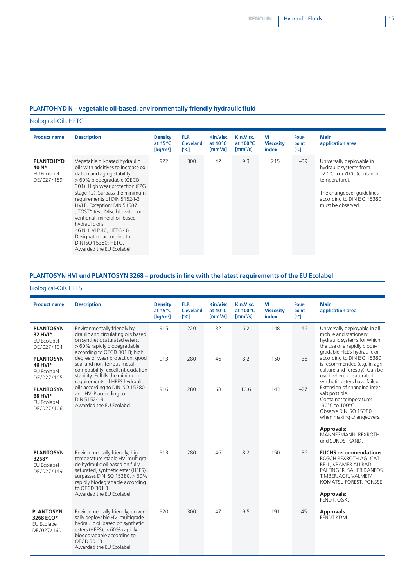### **PLANTOHYD N – vegetable oil-based, environmentally friendly hydraulic fluid**

Biological-Oils HETG

| <b>Product name</b>                                    | <b>Description</b>                                                                                                                                                                                                                                                                                                                                                                                                                                                  | <b>Density</b><br>at $15^{\circ}$ C<br>$\left[\mathrm{kg/m^3}\right]$ | FLP.<br><b>Cleveland</b><br>[°C] | Kin.Visc.<br>at $40^{\circ}$ C<br>$\left[\text{mm}^2/\text{s}\right]$ | Kin.Visc.<br>at $100^{\circ}$ C<br>$\left[\text{mm}^2/\text{s}\right]$ | <b>VI</b><br><b>Viscosity</b><br>index | Pour-<br>point<br>[°C] | <b>Main</b><br>application area                                                                                                                                                                        |
|--------------------------------------------------------|---------------------------------------------------------------------------------------------------------------------------------------------------------------------------------------------------------------------------------------------------------------------------------------------------------------------------------------------------------------------------------------------------------------------------------------------------------------------|-----------------------------------------------------------------------|----------------------------------|-----------------------------------------------------------------------|------------------------------------------------------------------------|----------------------------------------|------------------------|--------------------------------------------------------------------------------------------------------------------------------------------------------------------------------------------------------|
| <b>PLANTOHYD</b><br>40 N*<br>EU Ecolabel<br>DE/027/159 | Vegetable oil-based hydraulic<br>oils with additives to increase oxi-<br>dation and aging stability.<br>> 60% biodegradable (OECD<br>301). High wear protection (FZG<br>stage 12). Surpass the minimum<br>requirements of DIN 51524-3<br>HVLP. Exception: DIN 51587<br>"TOST" test. Miscible with con-<br>ventional, mineral oil-based<br>hydraulic oils.<br>46 N: HVLP 46, HETG 46<br>Designation according to<br>DIN ISO 15380: HETG.<br>Awarded the EU Ecolabel. | 922                                                                   | 300                              | 42                                                                    | 9.3                                                                    | 215                                    | $-39$                  | Universally deployable in<br>hydraulic systems from<br>$-27^{\circ}$ C to +70 $^{\circ}$ C (container<br>temperature).<br>The changeover guidelines<br>according to DIN ISO 15380<br>must be observed. |

### **PLANTOSYN HVI und PLANTOSYN 3268 – products in line with the latest requirements of the EU Ecolabel**

### Biological-Oils HEES

| <b>Product name</b>                                             | <b>Description</b>                                                                                                                                                                                                                                                                                                                                                                                                                                       | <b>Density</b><br>at $15^{\circ}$ C<br>$\left[\mathrm{kg/m^3}\right]$ | FLP.<br><b>Cleveland</b><br>[°C] | Kin.Visc.<br>at 40°C<br>$[mm^2/s]$ | Kin.Visc.<br>at 100 °C<br>$[mm^2/s]$ | VI<br><b>Viscosity</b><br>index | Pour-<br>point<br>[°C] | <b>Main</b><br>application area                                                                                                                                                                             |                                                                                                                                                          |
|-----------------------------------------------------------------|----------------------------------------------------------------------------------------------------------------------------------------------------------------------------------------------------------------------------------------------------------------------------------------------------------------------------------------------------------------------------------------------------------------------------------------------------------|-----------------------------------------------------------------------|----------------------------------|------------------------------------|--------------------------------------|---------------------------------|------------------------|-------------------------------------------------------------------------------------------------------------------------------------------------------------------------------------------------------------|----------------------------------------------------------------------------------------------------------------------------------------------------------|
| <b>PLANTOSYN</b><br>32 HVI*<br><b>EU Ecolabel</b><br>DE/027/104 | Environmentally friendly hy-<br>draulic and circulating oils based<br>on synthetic saturated esters.<br>> 60% rapidly biodegradable<br>according to OECD 301 B; high<br>degree of wear protection, good<br>seal and non-ferrous metal<br>compatibility, excellent oxidation<br>stability. Fulfills the minimum<br>requirements of HEES hydraulic<br>oils according to DIN ISO 15380<br>and HVLP according to<br>DIN 51524-3.<br>Awarded the EU Ecolabel. | 915                                                                   | 220                              | 32                                 | 6.2                                  | 148                             | $-46$                  | Universally deployable in all<br>mobile and stationary<br>hydraulic systems for which<br>the use of a rapidly biode-<br>gradable HEES hydraulic oil                                                         |                                                                                                                                                          |
| <b>PLANTOSYN</b><br>46 HVI*<br>EU Ecolabel<br>DE/027/105        |                                                                                                                                                                                                                                                                                                                                                                                                                                                          |                                                                       | 913                              | 280                                | 46                                   | 8.2                             | 150                    | $-36$                                                                                                                                                                                                       | according to DIN ISO 15380<br>is recommended (e.g. in agri-<br>culture and forestry). Can be<br>used where unsaturated,<br>synthetic esters have failed. |
| <b>PLANTOSYN</b><br>68 HVI*<br><b>EU Ecolabel</b><br>DE/027/106 |                                                                                                                                                                                                                                                                                                                                                                                                                                                          | 916                                                                   | 280                              | 68                                 | 10.6                                 | 143                             | $-27$                  | Extension of changing inter-<br>vals possible.<br>Container temperature:<br>-30°C to 100°C.<br>Observe DIN ISO 15380<br>when making changeovers.<br>Approvals:<br>MANNESMANN, REXROTH                       |                                                                                                                                                          |
| <b>PLANTOSYN</b><br>3268*<br><b>EU Ecolabel</b><br>DE/027/149   | Environmentally friendly, high<br>temperature-stable HVI multigra-<br>de hydraulic oil based on fully<br>saturated, synthetic ester (HEES),<br>surpasses DIN ISO 15380, > 60%<br>rapidly biodegradable according<br>to OECD 301 B.<br>Awarded the EU Ecolabel.                                                                                                                                                                                           | 913                                                                   | 280                              | 46                                 | 8.2                                  | 150                             | $-36$                  | und SUNDSTRAND.<br><b>FUCHS</b> recommendations:<br>BOSCH REXROTH AG, CAT<br>BF-1, KRAMER ALLRAD,<br>PALFINGER, SAUER DANFOS,<br>TIMBERJACK, VALMET/<br>KOMATSU FOREST, PONSSE<br>Approvals:<br>FENDT, O&K, |                                                                                                                                                          |
| <b>PLANTOSYN</b><br>3268 ECO*<br>EU Ecolabel<br>DE/027/160      | Environmentally friendly, univer-<br>sally deployable HVI multigrade<br>hydraulic oil based on synthetic<br>esters (HEES), $> 60\%$ rapidly<br>biodegradable according to<br>OECD 301 B.<br>Awarded the EU Ecolabel.                                                                                                                                                                                                                                     | 920                                                                   | 300                              | 47                                 | 9.5                                  | 191                             | $-45$                  | Approvals:<br>FENDT KDM                                                                                                                                                                                     |                                                                                                                                                          |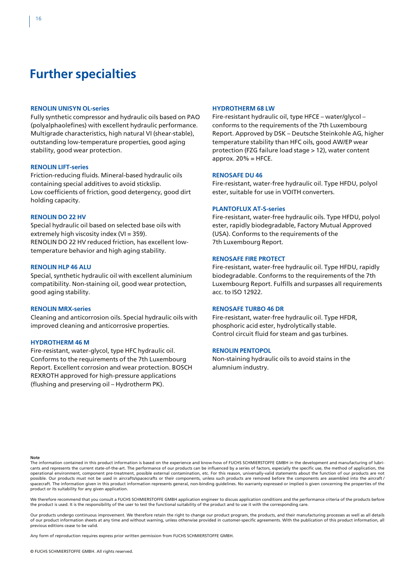### **Further specialties**

#### **RENOLIN UNISYN OL-series**

Fully synthetic compressor and hydraulic oils based on PAO (polyalphaolefines) with excellent hydraulic performance. Multigrade characteristics, high natural VI (shear-stable), outstanding low-temperature properties, good aging stability, good wear protection.

#### **RENOLIN LIFT-series**

Friction-reducing fluids. Mineral-based hydraulic oils containing special additives to avoid stickslip. Low coefficients of friction, good detergency, good dirt holding capacity.

#### **RENOLIN DO 22 HV**

Special hydraulic oil based on selected base oils with extremely high viscosity index (VI = 359). RENOLIN DO 22 HV reduced friction, has excellent lowtemperature behavior and high aging stability.

#### **RENOLIN HLP 46 ALU**

Special, synthetic hydraulic oil with excellent aluminium compatibility. Non-staining oil, good wear protection, good aging stability.

#### **RENOLIN MRX-series**

Cleaning and anticorrosion oils. Special hydraulic oils with improved cleaning and anticorrosive properties.

#### **HYDROTHERM 46 M**

Fire-resistant, water-glycol, type HFC hydraulic oil. Conforms to the requirements of the 7th Luxembourg Report. Excellent corrosion and wear protection. BOSCH REXROTH approved for high-pressure applications (flushing and preserving oil – Hydrotherm PK).

#### **HYDROTHERM 68 LW**

Fire-resistant hydraulic oil, type HFCE – water/glycol – conforms to the requirements of the 7th Luxembourg Report. Approved by DSK – Deutsche Steinkohle AG, higher temperature stability than HFC oils, good AW/EP wear protection (FZG failure load stage > 12), water content approx.  $20\%$  = HFCE.

#### **RENOSAFE DU 46**

Fire-resistant, water-free hydraulic oil. Type HFDU, polyol ester, suitable for use in VOITH converters.

#### **PLANTOFLUX AT-S-series**

Fire-resistant, water-free hydraulic oils. Type HFDU, polyol ester, rapidly biodegradable, Factory Mutual Approved (USA). Conforms to the requirements of the 7th Luxembourg Report.

#### **RENOSAFE FIRE PROTECT**

Fire-resistant, water-free hydraulic oil. Type HFDU, rapidly biodegradable. Conforms to the requirements of the 7th Luxembourg Report. Fulfills and surpasses all requirements acc. to ISO 12922.

#### **RENOSAFE TURBO 46 DR**

Fire-resistant, water-free hydraulic oil. Type HFDR, phosphoric acid ester, hydrolytically stable. Control circuit fluid for steam and gas turbines.

#### **RENOLIN PENTOPOL**

Non-staining hydraulic oils to avoid stains in the alumnium industry.

**Note**

The information contained in this product information is based on the experience and know-how of FUCHS SCHMIERSTOFFE GMBH in the development and manufacturing of lubricants and represents the current state-of-the-art. The performance of our products can be influenced by a series of factors, especially the specific use, the method of application, the operational environment, component pre-treatment, possible external contamination, etc. For this reason, universally-valid statements about the function of our products are not possible. Our products must not be used in aircrafts/spacecrafts or their components, unless such products are removed before the components are assembled into the aircraft / spacecraft. The information given in this product information represents general, non-binding guidelines. No warranty expressed or implied is given concerning the properties of the product or its suitability for any given application.

We therefore recommend that you consult a FUCHS SCHMIERSTOFFE GMBH application engineer to discuss application conditions and the performance criteria of the products before the product is used. It is the responsibility of the user to test the functional suitability of the product and to use it with the corresponding care.

Our products undergo continuous improvement. We therefore retain the right to change our product program, the products, and their manufacturing processes as well as all details of our product information sheets at any time and without warning, unless otherwise provided in customer-specific agreements. With the publication of this product information, all previous editions cease to be valid.

Any form of reproduction requires express prior written permission from FUCHS SCHMIERSTOFFE GMBH.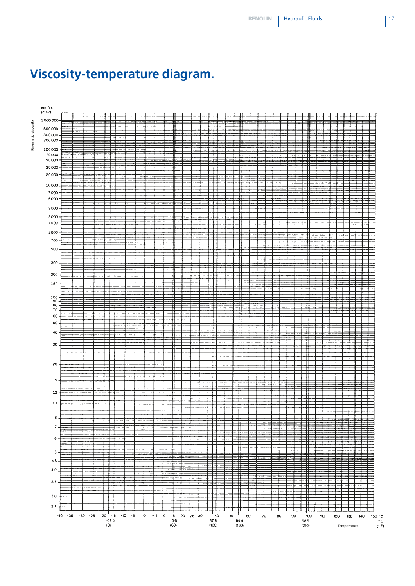

# **Viscosity-temperature diagram.**